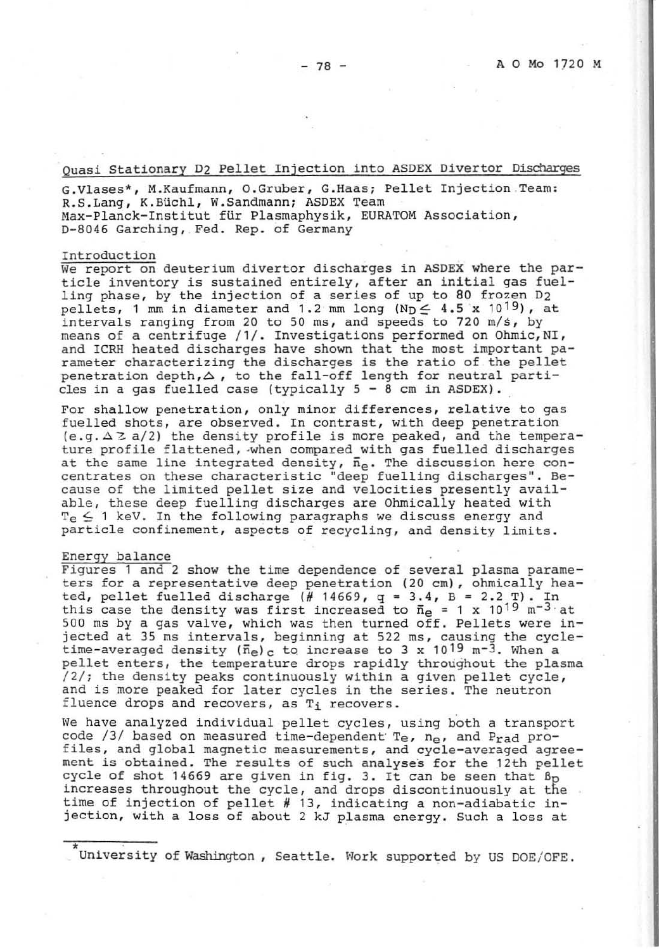Quasi Stationary D2 Pellet Injection into ASDEX Divertor Discharges

G.Vlases\*, M.Kaufmann, O.Gruber, G.Haas; Pellet Injection Team: R.S.Lang, K.Büchl, W.Sandmann; ASDEX Team Max-Planck-Institut für Plasmaphysik, EURATOM Association, D-8046 Garching, Fed. Rep. of Germany

### Introduction

We report on deuterium divertor discharges in ASDEX where the particle inventory is sustained entirely, after an initial gas fuelling phase, by the injection of a series of up to 80 frozen D2 pellets, 1 mm in diameter and 1.2 mm long (Np  $\leq$  4.5 x 10<sup>19</sup>), at intervals ranging from 20 to 50 ms, and speeds to 720 m/s, by means of a centrifuge /1/. Investigations performed on Ohmic, NI,<br>and ICRH heated discharges have shown that the most important parameter characterizing the discharges is the ratio of the pellet penetration depth,  $\Delta$ , to the fall-off length for neutral particles in a gas fuelled case (typically  $5 - 8$  cm in ASDEX).

For shallow penetration, only minor differences, relative to gas fuelled shots, are observed. In contrast, with deep penetration  $(e.g. \Delta Z a/2)$  the density profile is more peaked, and the temperature profile flattened, when compared with gas fuelled discharges at the same line integrated density,  $\bar{n}_e$ . The discussion here concentrates on these characteristic "deep fuelling discharges". Because of the limited pellet size and velocities presently available, these deep fuelling discharges are Ohmically heated with  $T_e \leq 1$  keV. In the following paragraphs we discuss energy and particle confinement, aspects of recycling, and density limits.

## Energy balance

Figures 1 and 2 show the time dependence of several plasma parameters for a representative deep penetration (20 cm), ohmically heated, pellet fuelled discharge (# 14669,  $q = 3.4$ ,  $B = 2.2$  T). In this case the density was first increased to  $\bar{n}_e = 1 \times 10^{19} \text{ m}^{-3}$  at 500 ms by a gas valve, which was then turned off. Pellets were injected at 35 ms intervals, beginning at 522 ms, causing the cycletime-averaged density  $(\bar{n}_e)_c$  to increase to 3 x 10<sup>19</sup> m<sup>-3</sup>. When a pellet enters, the temperature drops rapidly throughout the plasma /2/; the density peaks continuously within a given pellet cycle, and is more peaked for later cycles in the series. The neutron fluence drops and recovers, as T; recovers.

We have analyzed individual pellet cycles, using both a transport code /3/ based on measured time-dependent Te,  $n_e$ , and Prad profiles, and global magnetic measurements, and cycle-averaged agreement is obtained. The results of such analyses for the 12th pellet cycle of shot 14669 are given in fig. 3. It can be seen that  $B_D$ increases throughout the cycle, and drops discontinuously at the time of injection of pellet # 13, indicating a non-adiabatic injection, with a loss of about 2 kJ plasma energy. Such a loss at

University of Washington, Seattle. Work supported by US DOE/OFE.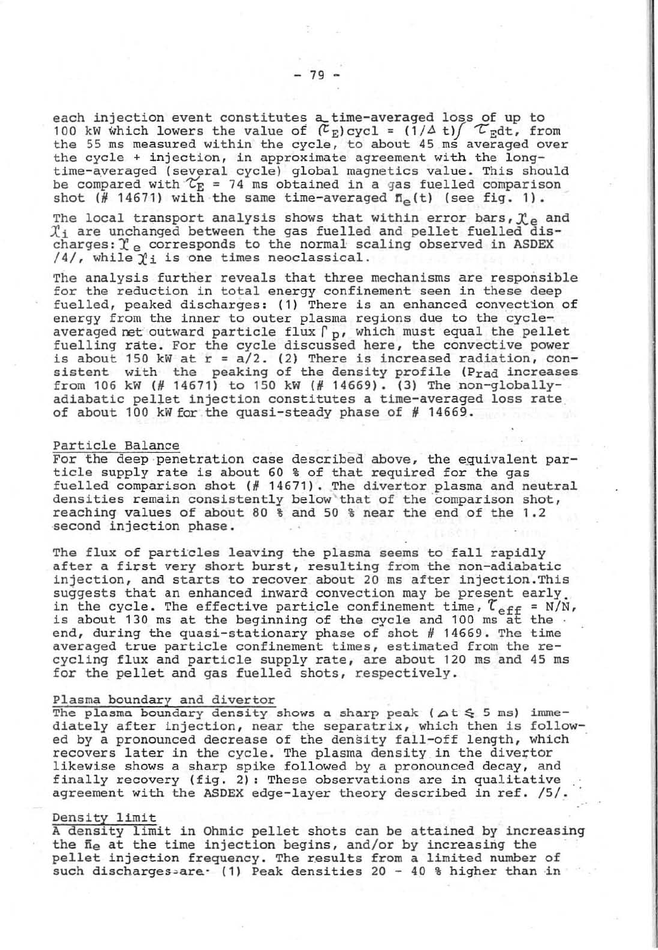each injection event constitutes a time-averaged loss of up to 100 kW which lowers the value of  $(\mathcal{L}_E)$  cycl =  $(1/\Delta t)/\mathcal{L}_E dt$ , from the 55 ms measured within the cycle, to about 45 ms averaged over the 55 ms measured within the cycle, to about 45 ms averaged over the cycle + injection, in approximate agreement with the longtime-averaged (several cycle) global magnetics value. This should<br>be compared with  $\mathcal{T}_\mathrm{E}$  = 74 ms obtained in a gas fuelled comparison shot (# 14671) with the same time-averaged  $\overline{n}_{\text{e}}(t)$  (see fig. 1).

The local transport analysis shows that within error bars,  $\mathfrak{X}_{e}$  and  $\mathfrak{X}'_{i}$  are unchanged between the gas fuelled and pellet fuelled discharges: $\mathfrak{X}_{e}$  corresponds to the normal scaling observed in ASDEX  $/4/$ , while  $\gamma_i$  is one times neoclassical.

The analysis further reveals that three mechanisms are responsible for the reduction in total energy confinement seen in these deep fuelled, peaked discharges: (1) There is an enhanced convection of energy from the inner to outer plasma regions due to the cycleaveraged net outward particle flux  $\Gamma_p$ , which must equal the pellet fuelling rate. For the cycle discussed here, the convective power is about 150 kW at  $r = a/2$ . (2) There is increased radiation, consistent with the peaking of the density profile (Prad increases from 106 kW (# 14671) to 150 kW (# 14669). (3) The non-globallyadiabatic pellet injection constitutes a time-averaged loss rate of about 100 kW for the quasi-steady phase of  $#$  14669.

#### Particle Balance

For the deep penetration case described above, the equivalent particle supply rate is about 60 % of that required for the gas fuelled comparison shot (# 14671). The divertor plasma and neutral densities remain consistently below that of the comparison shot, reaching values of about 80 % and 50 % near the end of the 1 .2 second injection phase.

The flux of particles leaving the plasma seems to fall rapidly after a first very short burst, resulting from the non-adiabatic injection, and starts to recover about 20 ms after injection.This suggests that an enhanced inward convection may be present early. in the cycle. The effective particle confinement time,  $\tau_{\text{eff}}$  = N/N, is about 130 ms at the beginning of the cycle and 100 ms at the. end, during the quasi-stationary phase of shot *H* 14669. The time averaged true particle confinement times, estimated from the re-<br>cycling flux and particle supply rate, are about 120 ms and 45 ms for the pellet and gas fuelled shots, respectively.

## Plasma boundary and divertor

The plasma boundary density shows a sharp peak ( $\Delta t \leq 5$  ms) imme-<br>diately after injection, near the separatrix, which then is followed by a pronounced decrease of the density fall-off length, which recovers later in the cycle. The plasma density in the divertor likewise shows a sharp spike followed by a pronounced decay, and finally recovery (fig. 2): These observations are in qualitative agreement with the ASDEX edge-layer theory described in ref. /5/.

# Density limit

A density limit in Ohmic pellet shots can be attained by increasing the  $\bar{n}_e$  at the time injection begins, and/or by increasing the pellet injection frequency. The results from a limited number of such discharges-are. (1) Peak densities  $20 - 40$  % higher than in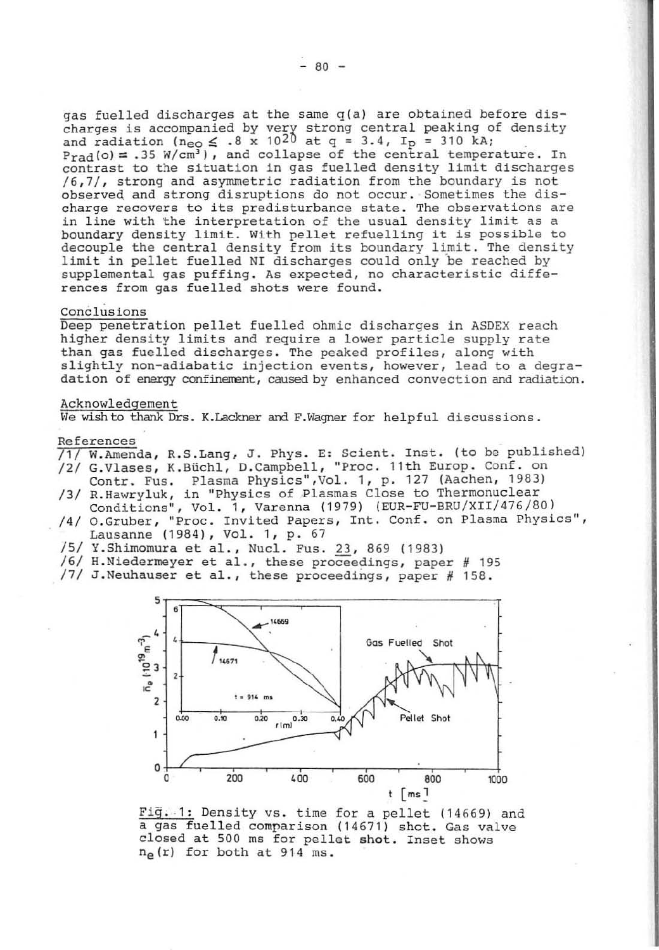gas fuelled discharges at the same  $q(a)$  are obtained before discharges is accompanied by very strong central peaking of density and radiation ( $n_{\text{e}0} \leq .8 \times 10^{20}$  at q = 3.4, Ip = 310 kA;  $P_{rad}(o) = .35$  W/cm<sup>3</sup>), and collapse of the central temperature. In contrast to the situation in gas fuelled density limit discharges  $/6, 7/$ , strong and asymmetric radiation from the boundary is not observed and strong disruptions do not occur. Sometimes the discharge recovers to its predisturbance state. The observations are<br>in line with the interpretation of the usual density limit as a<br>boundary density limit. With pellet refuelling it is possible to decouple the central density from its boundary limit. The density limit in pellet fuelled NI discharges could only 'be reached by supplemental gas puffing. As expected, no characteristic diffe-rences from gas fuelled shots were found.

### Conclusions

Deep penetration pellet fuelled ohmic discharges in ASDEX reach higher density limits and require a lower particle supply rate<br>than gas fuelled discharges. The peaked profiles, along with slightly non-adiabatic injection events, however, lead to a degra-dation of energy confinement, caused by enhanced convection and radiation.

### Acknowledgement

We wish to thank Drs. K.Lackner and F.Wagner for helpful discussions.

## References

- R. S. Lang, J. Phys. E: Scient. Inst. (to be published)
- /2/ W.Amenua, K.Biichl, D.Campbell, "Proc. 11th Europ. Conf. on<br>Contr. Fus. Plasma Physics",Vol. 1, p. 127 (Aachen, 1983)
- /3/ R.Hawryluk, in "Physics of Plasmas Close to Thermonuclear Conditions", Vol. 1, Varenna (1979) (EUR-FU-BRU/XII/476/80)
- /4/ O.Gruber, "Proc. Invited Papers, Int. Conf. on Plasma Physics", Lausanne (1984), Vol. 1, p. 67
- /5/ Y.Shimomura et al., Nucl. Fus. 23, 869 (1983)
- $/6/$  H.Niedermeyer et al., these proceedings, paper # 195
- /7/ J. Neuhauser et al., these proceedings, paper *N 158.*



Fig. 1: Density vs. time for a pellet (14669) and a gas fuelled comparison (14671) shot. Gas valve closed at 500 ms for pellet shot. Inset shows ne  $(r)$  for both at 914 ms.